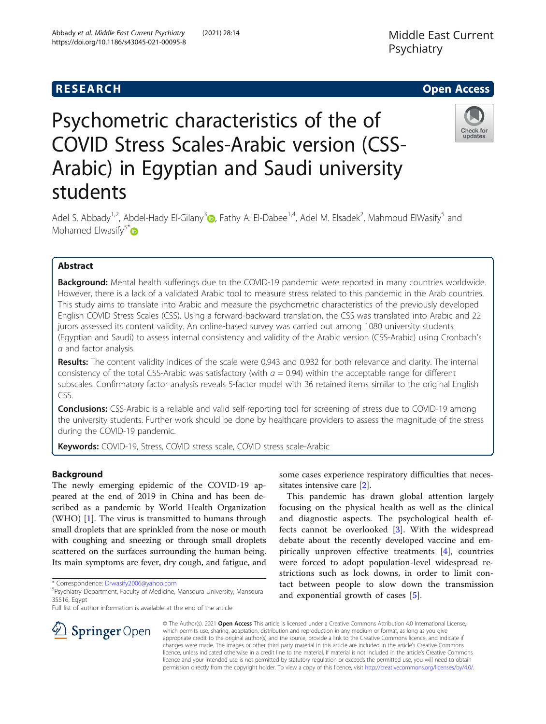# **RESEARCH CHEAR CHEAR CHEAR CHEAR CHEAR CHEAR CHEAR CHEAR CHEAR CHEAR CHEAR CHEAR CHEAR CHEAR CHEAR CHEAR CHEAR**



# Psychometric characteristics of the of COVID Stress Scales-Arabic version (CSS-Arabic) in Egyptian and Saudi university students

Adel S. Abbady<sup>1[,](https://orcid.org/0000-0001-9376-6985)2</sup>, Abdel-Hady El-Gilany<sup>3</sup> , Fathy A. El-Dabee<sup>1,4</sup>, Adel M. Elsadek<sup>2</sup>, Mahmoud ElWasify<sup>5</sup> and Mohamed Elwasify $5^*$  $5^*$ 

# Abstract

**Background:** Mental health sufferings due to the COVID-19 pandemic were reported in many countries worldwide. However, there is a lack of a validated Arabic tool to measure stress related to this pandemic in the Arab countries. This study aims to translate into Arabic and measure the psychometric characteristics of the previously developed English COVID Stress Scales (CSS). Using a forward-backward translation, the CSS was translated into Arabic and 22 jurors assessed its content validity. An online-based survey was carried out among 1080 university students (Egyptian and Saudi) to assess internal consistency and validity of the Arabic version (CSS-Arabic) using Cronbach's α and factor analysis.

Results: The content validity indices of the scale were 0.943 and 0.932 for both relevance and clarity. The internal consistency of the total CSS-Arabic was satisfactory (with  $\alpha$  = 0.94) within the acceptable range for different subscales. Confirmatory factor analysis reveals 5-factor model with 36 retained items similar to the original English CSS.

Conclusions: CSS-Arabic is a reliable and valid self-reporting tool for screening of stress due to COVID-19 among the university students. Further work should be done by healthcare providers to assess the magnitude of the stress during the COVID-19 pandemic.

Keywords: COVID-19, Stress, COVID stress scale, COVID stress scale-Arabic

# Background

The newly emerging epidemic of the COVID-19 appeared at the end of 2019 in China and has been described as a pandemic by World Health Organization (WHO) [[1](#page-7-0)]. The virus is transmitted to humans through small droplets that are sprinkled from the nose or mouth with coughing and sneezing or through small droplets scattered on the surfaces surrounding the human being. Its main symptoms are fever, dry cough, and fatigue, and

Full list of author information is available at the end of the article

some cases experience respiratory difficulties that necessitates intensive care [\[2\]](#page-7-0).

This pandemic has drawn global attention largely focusing on the physical health as well as the clinical and diagnostic aspects. The psychological health effects cannot be overlooked [[3\]](#page-7-0). With the widespread debate about the recently developed vaccine and empirically unproven effective treatments [[4\]](#page-7-0), countries were forced to adopt population-level widespread restrictions such as lock downs, in order to limit contact between people to slow down the transmission and exponential growth of cases [[5](#page-7-0)].



© The Author(s). 2021 Open Access This article is licensed under a Creative Commons Attribution 4.0 International License, which permits use, sharing, adaptation, distribution and reproduction in any medium or format, as long as you give appropriate credit to the original author(s) and the source, provide a link to the Creative Commons licence, and indicate if changes were made. The images or other third party material in this article are included in the article's Creative Commons licence, unless indicated otherwise in a credit line to the material. If material is not included in the article's Creative Commons licence and your intended use is not permitted by statutory regulation or exceeds the permitted use, you will need to obtain permission directly from the copyright holder. To view a copy of this licence, visit <http://creativecommons.org/licenses/by/4.0/>.

<sup>\*</sup> Correspondence: [Drwasify2006@yahoo.com](mailto:Drwasify2006@yahoo.com) <sup>5</sup>

<sup>&</sup>lt;sup>5</sup>Psychiatry Department, Faculty of Medicine, Mansoura University, Mansoura 35516, Egypt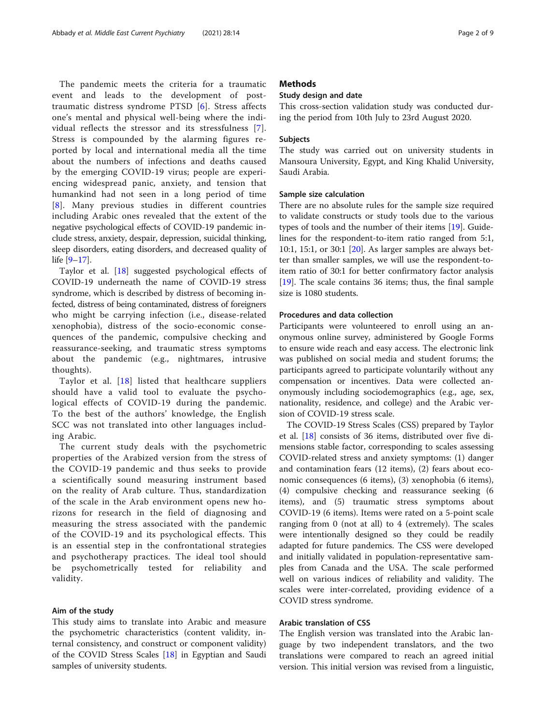The pandemic meets the criteria for a traumatic event and leads to the development of posttraumatic distress syndrome PTSD [\[6](#page-7-0)]. Stress affects one's mental and physical well-being where the individual reflects the stressor and its stressfulness [[7](#page-7-0)]. Stress is compounded by the alarming figures reported by local and international media all the time about the numbers of infections and deaths caused by the emerging COVID-19 virus; people are experiencing widespread panic, anxiety, and tension that humankind had not seen in a long period of time [[8](#page-7-0)]. Many previous studies in different countries including Arabic ones revealed that the extent of the negative psychological effects of COVID-19 pandemic include stress, anxiety, despair, depression, suicidal thinking, sleep disorders, eating disorders, and decreased quality of life [\[9](#page-7-0)–[17\]](#page-7-0).

Taylor et al. [[18\]](#page-7-0) suggested psychological effects of COVID-19 underneath the name of COVID-19 stress syndrome, which is described by distress of becoming infected, distress of being contaminated, distress of foreigners who might be carrying infection (i.e., disease-related xenophobia), distress of the socio-economic consequences of the pandemic, compulsive checking and reassurance-seeking, and traumatic stress symptoms about the pandemic (e.g., nightmares, intrusive thoughts).

Taylor et al. [[18](#page-7-0)] listed that healthcare suppliers should have a valid tool to evaluate the psychological effects of COVID-19 during the pandemic. To the best of the authors' knowledge, the English SCC was not translated into other languages including Arabic.

The current study deals with the psychometric properties of the Arabized version from the stress of the COVID-19 pandemic and thus seeks to provide a scientifically sound measuring instrument based on the reality of Arab culture. Thus, standardization of the scale in the Arab environment opens new horizons for research in the field of diagnosing and measuring the stress associated with the pandemic of the COVID-19 and its psychological effects. This is an essential step in the confrontational strategies and psychotherapy practices. The ideal tool should be psychometrically tested for reliability and validity.

#### Aim of the study

This study aims to translate into Arabic and measure the psychometric characteristics (content validity, internal consistency, and construct or component validity) of the COVID Stress Scales [[18](#page-7-0)] in Egyptian and Saudi samples of university students.

#### **Methods**

#### Study design and date

This cross-section validation study was conducted during the period from 10th July to 23rd August 2020.

#### Subjects

The study was carried out on university students in Mansoura University, Egypt, and King Khalid University, Saudi Arabia.

#### Sample size calculation

There are no absolute rules for the sample size required to validate constructs or study tools due to the various types of tools and the number of their items [\[19](#page-8-0)]. Guidelines for the respondent-to-item ratio ranged from 5:1, 10:1, 15:1, or 30:1 [[20\]](#page-8-0). As larger samples are always better than smaller samples, we will use the respondent-toitem ratio of 30:1 for better confirmatory factor analysis [[19\]](#page-8-0). The scale contains 36 items; thus, the final sample size is 1080 students.

#### Procedures and data collection

Participants were volunteered to enroll using an anonymous online survey, administered by Google Forms to ensure wide reach and easy access. The electronic link was published on social media and student forums; the participants agreed to participate voluntarily without any compensation or incentives. Data were collected anonymously including sociodemographics (e.g., age, sex, nationality, residence, and college) and the Arabic version of COVID-19 stress scale.

The COVID-19 Stress Scales (CSS) prepared by Taylor et al. [\[18](#page-7-0)] consists of 36 items, distributed over five dimensions stable factor, corresponding to scales assessing COVID-related stress and anxiety symptoms: (1) danger and contamination fears (12 items), (2) fears about economic consequences (6 items), (3) xenophobia (6 items), (4) compulsive checking and reassurance seeking (6 items), and (5) traumatic stress symptoms about COVID-19 (6 items). Items were rated on a 5-point scale ranging from 0 (not at all) to 4 (extremely). The scales were intentionally designed so they could be readily adapted for future pandemics. The CSS were developed and initially validated in population-representative samples from Canada and the USA. The scale performed well on various indices of reliability and validity. The scales were inter-correlated, providing evidence of a COVID stress syndrome.

#### Arabic translation of CSS

The English version was translated into the Arabic language by two independent translators, and the two translations were compared to reach an agreed initial version. This initial version was revised from a linguistic,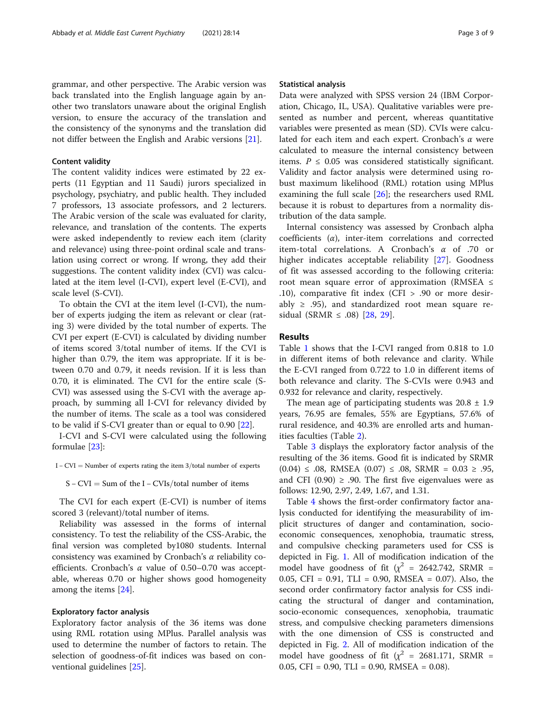grammar, and other perspective. The Arabic version was back translated into the English language again by another two translators unaware about the original English version, to ensure the accuracy of the translation and the consistency of the synonyms and the translation did not differ between the English and Arabic versions [[21](#page-8-0)].

#### Content validity

The content validity indices were estimated by 22 experts (11 Egyptian and 11 Saudi) jurors specialized in psychology, psychiatry, and public health. They included 7 professors, 13 associate professors, and 2 lecturers. The Arabic version of the scale was evaluated for clarity, relevance, and translation of the contents. The experts were asked independently to review each item (clarity and relevance) using three-point ordinal scale and translation using correct or wrong. If wrong, they add their suggestions. The content validity index (CVI) was calculated at the item level (I-CVI), expert level (E-CVI), and scale level (S-CVI).

To obtain the CVI at the item level (I-CVI), the number of experts judging the item as relevant or clear (rating 3) were divided by the total number of experts. The CVI per expert (E-CVI) is calculated by dividing number of items scored 3/total number of items. If the CVI is higher than 0.79, the item was appropriate. If it is between 0.70 and 0.79, it needs revision. If it is less than 0.70, it is eliminated. The CVI for the entire scale (S-CVI) was assessed using the S-CVI with the average approach, by summing all I-CVI for relevancy divided by the number of items. The scale as a tool was considered to be valid if S-CVI greater than or equal to 0.90 [\[22](#page-8-0)].

I-CVI and S-CVI were calculated using the following formulae [\[23](#page-8-0)]:

S – CVI = Sum of the I – CVIs/total number of items

The CVI for each expert (E-CVI) is number of items scored 3 (relevant)/total number of items.

Reliability was assessed in the forms of internal consistency. To test the reliability of the CSS-Arabic, the final version was completed by1080 students. Internal consistency was examined by Cronbach's  $\alpha$  reliability coefficients. Cronbach's  $\alpha$  value of 0.50–0.70 was acceptable, whereas 0.70 or higher shows good homogeneity among the items [\[24](#page-8-0)].

#### Exploratory factor analysis

Exploratory factor analysis of the 36 items was done using RML rotation using MPlus. Parallel analysis was used to determine the number of factors to retain. The selection of goodness-of-fit indices was based on conventional guidelines [\[25\]](#page-8-0).

#### Statistical analysis

Data were analyzed with SPSS version 24 (IBM Corporation, Chicago, IL, USA). Qualitative variables were presented as number and percent, whereas quantitative variables were presented as mean (SD). CVIs were calculated for each item and each expert. Cronbach's  $\alpha$  were calculated to measure the internal consistency between items.  $P \leq 0.05$  was considered statistically significant. Validity and factor analysis were determined using robust maximum likelihood (RML) rotation using MPlus examining the full scale [[26](#page-8-0)]; the researchers used RML because it is robust to departures from a normality distribution of the data sample.

Internal consistency was assessed by Cronbach alpha coefficients  $(\alpha)$ , inter-item correlations and corrected item-total correlations. A Cronbach's α of .70 or higher indicates acceptable reliability [[27\]](#page-8-0). Goodness of fit was assessed according to the following criteria: root mean square error of approximation (RMSEA ≤ .10), comparative fit index (CFI > .90 or more desirably  $\ge$  .95), and standardized root mean square re-sidual (SRMR ≤ .08) [[28,](#page-8-0) [29\]](#page-8-0).

#### Results

Table [1](#page-3-0) shows that the I-CVI ranged from 0.818 to 1.0 in different items of both relevance and clarity. While the E-CVI ranged from 0.722 to 1.0 in different items of both relevance and clarity. The S-CVIs were 0.943 and 0.932 for relevance and clarity, respectively.

The mean age of participating students was  $20.8 \pm 1.9$ years, 76.95 are females, 55% are Egyptians, 57.6% of rural residence, and 40.3% are enrolled arts and humanities faculties (Table [2\)](#page-4-0).

Table [3](#page-4-0) displays the exploratory factor analysis of the resulting of the 36 items. Good fit is indicated by SRMR (0.04) ≤ .08, RMSEA (0.07) ≤ .08, SRMR = 0.03 ≥ .95, and CFI (0.90)  $\geq$  .90. The first five eigenvalues were as follows: 12.90, 2.97, 2.49, 1.67, and 1.31.

Table [4](#page-5-0) shows the first-order confirmatory factor analysis conducted for identifying the measurability of implicit structures of danger and contamination, socioeconomic consequences, xenophobia, traumatic stress, and compulsive checking parameters used for CSS is depicted in Fig. [1.](#page-5-0) All of modification indication of the model have goodness of fit ( $\chi^2$  = 2642.742, SRMR = 0.05, CFI = 0.91, TLI = 0.90, RMSEA = 0.07). Also, the second order confirmatory factor analysis for CSS indicating the structural of danger and contamination, socio-economic consequences, xenophobia, traumatic stress, and compulsive checking parameters dimensions with the one dimension of CSS is constructed and depicted in Fig. [2.](#page-6-0) All of modification indication of the model have goodness of fit ( $\chi^2$  = 2681.171, SRMR = 0.05, CFI = 0.90, TLI = 0.90, RMSEA =  $0.08$ ).

I – CVI = Number of experts rating the item  $3$ /total number of experts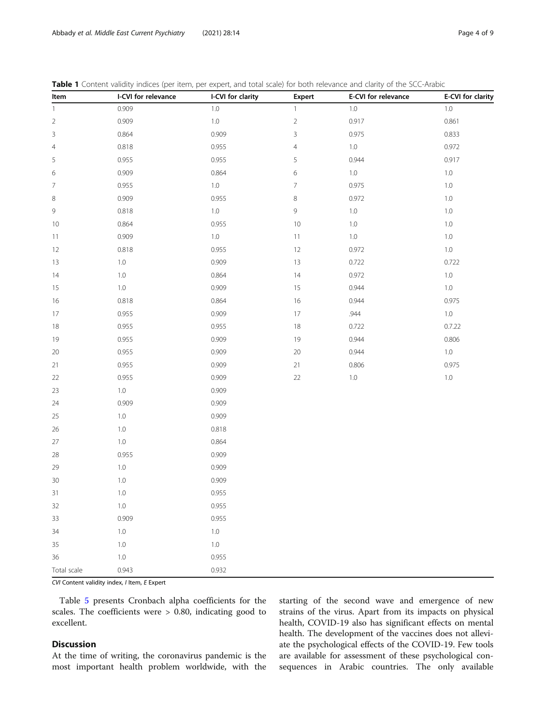| Item           | I-CVI for relevance | I-CVI for clarity | Expert         | E-CVI for relevance | E-CVI for clarity |
|----------------|---------------------|-------------------|----------------|---------------------|-------------------|
| $\mathbf{1}$   | 0.909               | 1.0               | $\mathbf{1}$   | $1.0\,$             | $1.0\,$           |
| $\sqrt{2}$     | 0.909               | $1.0\,$           | $\overline{2}$ | 0.917               | 0.861             |
| $\mathsf{3}$   | 0.864               | 0.909             | $\mathsf{3}$   | 0.975               | 0.833             |
| $\overline{4}$ | 0.818               | 0.955             | $\overline{4}$ | $1.0\,$             | 0.972             |
| 5              | 0.955               | 0.955             | 5              | 0.944               | 0.917             |
| 6              | 0.909               | 0.864             | 6              | $1.0\,$             | $1.0\,$           |
| 7              | 0.955               | $1.0\,$           | $\overline{7}$ | 0.975               | $1.0\,$           |
| 8              | 0.909               | 0.955             | 8              | 0.972               | $1.0\,$           |
| 9              | 0.818               | $1.0\,$           | 9              | $1.0\,$             | $1.0\,$           |
| 10             | 0.864               | 0.955             | $10$           | 1.0                 | 1.0               |
| 11             | 0.909               | $1.0\,$           | $11$           | $1.0\,$             | $1.0\,$           |
| 12             | 0.818               | 0.955             | 12             | 0.972               | $1.0\,$           |
| 13             | 1.0                 | 0.909             | $13$           | 0.722               | 0.722             |
| 14             | $1.0\,$             | 0.864             | 14             | 0.972               | $1.0\,$           |
| 15             | $1.0\,$             | 0.909             | 15             | 0.944               | $1.0\,$           |
| 16             | 0.818               | 0.864             | 16             | 0.944               | 0.975             |
| 17             | 0.955               | 0.909             | $17\,$         | .944                | $1.0\,$           |
| 18             | 0.955               | 0.955             | $18$           | 0.722               | 0.7.22            |
| 19             | 0.955               | 0.909             | 19             | 0.944               | 0.806             |
| $20\,$         | 0.955               | 0.909             | $20\,$         | 0.944               | $1.0\,$           |
| 21             | 0.955               | 0.909             | $21\,$         | 0.806               | 0.975             |
| 22             | 0.955               | 0.909             | $22\,$         | $1.0\,$             | $1.0\,$           |
| 23             | $1.0\,$             | 0.909             |                |                     |                   |
| 24             | 0.909               | 0.909             |                |                     |                   |
| 25             | 1.0                 | 0.909             |                |                     |                   |
| 26             | $1.0\,$             | 0.818             |                |                     |                   |
| $27\,$         | 1.0                 | 0.864             |                |                     |                   |
| 28             | 0.955               | 0.909             |                |                     |                   |
| 29             | $1.0\,$             | 0.909             |                |                     |                   |
| $30\,$         | $1.0\,$             | 0.909             |                |                     |                   |
| 31             | $1.0\,$             | 0.955             |                |                     |                   |
| 32             | 1.0                 | 0.955             |                |                     |                   |
| 33             | 0.909               | 0.955             |                |                     |                   |
| 34             | 1.0                 | $1.0\,$           |                |                     |                   |
| 35             | $1.0\,$             | $1.0\,$           |                |                     |                   |
| 36             | 1.0                 | 0.955             |                |                     |                   |
| Total scale    | 0.943               | 0.932             |                |                     |                   |

<span id="page-3-0"></span>Table 1 Content validity indices (per item, per expert, and total scale) for both relevance and clarity of the SCC-Arabic

CVI Content validity index, I Item, E Expert

Table [5](#page-6-0) presents Cronbach alpha coefficients for the scales. The coefficients were > 0.80, indicating good to excellent.

#### **Discussion**

At the time of writing, the coronavirus pandemic is the most important health problem worldwide, with the starting of the second wave and emergence of new strains of the virus. Apart from its impacts on physical health, COVID-19 also has significant effects on mental health. The development of the vaccines does not alleviate the psychological effects of the COVID-19. Few tools are available for assessment of these psychological consequences in Arabic countries. The only available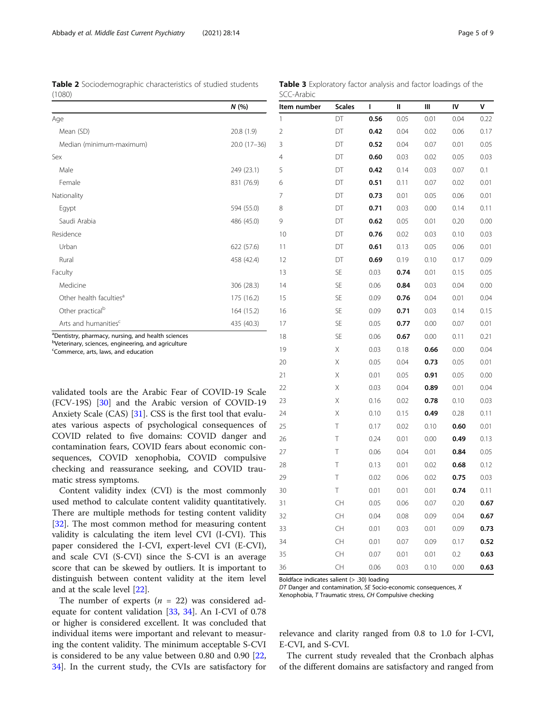<span id="page-4-0"></span>Table 2 Sociodemographic characteristics of studied students (1080)

Table 3 Exploratory factor analysis and factor loadings of the SCC-Arabic

|                                     | N(%)          |  |  |
|-------------------------------------|---------------|--|--|
| Age                                 |               |  |  |
| Mean (SD)                           | 20.8(1.9)     |  |  |
| Median (minimum-maximum)            | $20.0(17-36)$ |  |  |
| Sex                                 |               |  |  |
| Male                                | 249 (23.1)    |  |  |
| Female                              | 831 (76.9)    |  |  |
| Nationality                         |               |  |  |
| Egypt                               | 594 (55.0)    |  |  |
| Saudi Arabia                        | 486 (45.0)    |  |  |
| Residence                           |               |  |  |
| Urban                               | 622 (57.6)    |  |  |
| Rural                               | 458 (42.4)    |  |  |
| Faculty                             |               |  |  |
| Medicine                            | 306 (28.3)    |  |  |
| Other health faculties <sup>a</sup> | 175 (16.2)    |  |  |
| Other practical <sup>b</sup>        | 164 (15.2)    |  |  |
| Arts and humanities <sup>c</sup>    | 435 (40.3)    |  |  |

<sup>a</sup>Dentistry, pharmacy, nursing, and health sciences

<sup>b</sup>Veterinary, sciences, engineering, and agriculture

c Commerce, arts, laws, and education

validated tools are the Arabic Fear of COVID-19 Scale (FCV-19S) [\[30](#page-8-0)] and the Arabic version of COVID-19 Anxiety Scale (CAS) [\[31\]](#page-8-0). CSS is the first tool that evaluates various aspects of psychological consequences of COVID related to five domains: COVID danger and contamination fears, COVID fears about economic consequences, COVID xenophobia, COVID compulsive checking and reassurance seeking, and COVID traumatic stress symptoms.

Content validity index (CVI) is the most commonly used method to calculate content validity quantitatively. There are multiple methods for testing content validity [[32\]](#page-8-0). The most common method for measuring content validity is calculating the item level CVI (I-CVI). This paper considered the I-CVI, expert-level CVI (E-CVI), and scale CVI (S-CVI) since the S-CVI is an average score that can be skewed by outliers. It is important to distinguish between content validity at the item level and at the scale level [[22\]](#page-8-0).

The number of experts  $(n = 22)$  was considered adequate for content validation [\[33](#page-8-0), [34\]](#page-8-0). An I-CVI of 0.78 or higher is considered excellent. It was concluded that individual items were important and relevant to measuring the content validity. The minimum acceptable S-CVI is considered to be any value between 0.80 and 0.90 [[22](#page-8-0), [34\]](#page-8-0). In the current study, the CVIs are satisfactory for

| ltem number    | <b>Scales</b> | ı    | II   | Ш    | IV   | ٧    |
|----------------|---------------|------|------|------|------|------|
| 1              | DT            | 0.56 | 0.05 | 0.01 | 0.04 | 0.22 |
| $\overline{c}$ | DT            | 0.42 | 0.04 | 0.02 | 0.06 | 0.17 |
| 3              | DT            | 0.52 | 0.04 | 0.07 | 0.01 | 0.05 |
| 4              | DT            | 0.60 | 0.03 | 0.02 | 0.05 | 0.03 |
| 5              | DT            | 0.42 | 0.14 | 0.03 | 0.07 | 0.1  |
| 6              | DT            | 0.51 | 0.11 | 0.07 | 0.02 | 0.01 |
| 7              | DT            | 0.73 | 0.01 | 0.05 | 0.06 | 0.01 |
| 8              | DT            | 0.71 | 0.03 | 0.00 | 0.14 | 0.11 |
| 9              | DT            | 0.62 | 0.05 | 0.01 | 0.20 | 0.00 |
| 10             | DT            | 0.76 | 0.02 | 0.03 | 0.10 | 0.03 |
| 11             | DT            | 0.61 | 0.13 | 0.05 | 0.06 | 0.01 |
| 12             | DT            | 0.69 | 0.19 | 0.10 | 0.17 | 0.09 |
| 13             | SE            | 0.03 | 0.74 | 0.01 | 0.15 | 0.05 |
| 14             | SE            | 0.06 | 0.84 | 0.03 | 0.04 | 0.00 |
| 15             | SE            | 0.09 | 0.76 | 0.04 | 0.01 | 0.04 |
| 16             | SE            | 0.09 | 0.71 | 0.03 | 0.14 | 0.15 |
| 17             | SE            | 0.05 | 0.77 | 0.00 | 0.07 | 0.01 |
| 18             | <b>SE</b>     | 0.06 | 0.67 | 0.00 | 0.11 | 0.21 |
| 19             | X             | 0.03 | 0.18 | 0.66 | 0.00 | 0.04 |
| 20             | Χ             | 0.05 | 0.04 | 0.73 | 0.05 | 0.01 |
| 21             | Χ             | 0.01 | 0.05 | 0.91 | 0.05 | 0.00 |
| 22             | Χ             | 0.03 | 0.04 | 0.89 | 0.01 | 0.04 |
| 23             | Χ             | 0.16 | 0.02 | 0.78 | 0.10 | 0.03 |
| 24             | Χ             | 0.10 | 0.15 | 0.49 | 0.28 | 0.11 |
| 25             | Т             | 0.17 | 0.02 | 0.10 | 0.60 | 0.01 |
| 26             | Τ             | 0.24 | 0.01 | 0.00 | 0.49 | 0.13 |
| 27             | Τ             | 0.06 | 0.04 | 0.01 | 0.84 | 0.05 |
| 28             | Τ             | 0.13 | 0.01 | 0.02 | 0.68 | 0.12 |
| 29             | Τ             | 0.02 | 0.06 | 0.02 | 0.75 | 0.03 |
| 30             | Τ             | 0.01 | 0.01 | 0.01 | 0.74 | 0.11 |
| 31             | CH            | 0.05 | 0.06 | 0.07 | 0.20 | 0.67 |
| 32             | CH            | 0.04 | 0.08 | 0.09 | 0.04 | 0.67 |
| 33             | CH            | 0.01 | 0.03 | 0.01 | 0.09 | 0.73 |
| 34             | CH            | 0.01 | 0.07 | 0.09 | 0.17 | 0.52 |
| 35             | CH            | 0.07 | 0.01 | 0.01 | 0.2  | 0.63 |
| 36             | CH            | 0.06 | 0.03 | 0.10 | 0.00 | 0.63 |

Boldface indicates salient (> .30) loading

DT Danger and contamination, SE Socio-economic consequences, X Xenophobia, T Traumatic stress, CH Compulsive checking

relevance and clarity ranged from 0.8 to 1.0 for I-CVI, E-CVI, and S-CVI.

The current study revealed that the Cronbach alphas of the different domains are satisfactory and ranged from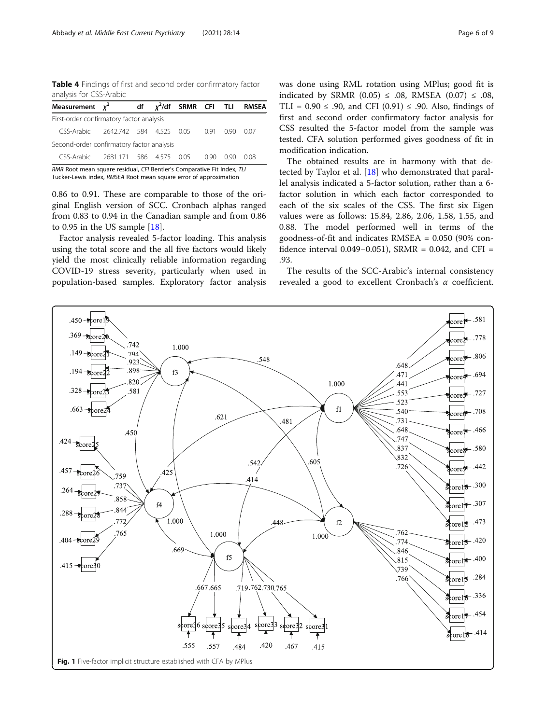<span id="page-5-0"></span>Table 4 Findings of first and second order confirmatory factor analysis for CSS-Arabic

| Measurement $\chi^2$                                                    |  |  |  |  |      |      | df $\chi^2$ /df SRMR CFI TLI RMSEA |
|-------------------------------------------------------------------------|--|--|--|--|------|------|------------------------------------|
| First-order confirmatory factor analysis                                |  |  |  |  |      |      |                                    |
| CSS-Arabic 2642.742 584 4.525 0.05 0.91 0.90                            |  |  |  |  |      |      | 0.07                               |
| Second-order confirmatory factor analysis                               |  |  |  |  |      |      |                                    |
| CSS-Arabic 2681.171 586 4.575 0.05                                      |  |  |  |  | 0.90 | O 90 | 0.08                               |
| RMR Root mean square residual, CFI Bentler's Comparative Fit Index, TLI |  |  |  |  |      |      |                                    |

Tucker-Lewis index, RMSEA Root mean square error of approximation

0.86 to 0.91. These are comparable to those of the original English version of SCC. Cronbach alphas ranged from 0.83 to 0.94 in the Canadian sample and from 0.86 to 0.95 in the US sample [\[18](#page-7-0)].

Factor analysis revealed 5-factor loading. This analysis using the total score and the all five factors would likely yield the most clinically reliable information regarding COVID-19 stress severity, particularly when used in population-based samples. Exploratory factor analysis was done using RML rotation using MPlus; good fit is indicated by SRMR (0.05)  $\leq$  .08, RMSEA (0.07)  $\leq$  .08, TLI =  $0.90 \leq .90$ , and CFI  $(0.91) \leq .90$ . Also, findings of first and second order confirmatory factor analysis for CSS resulted the 5-factor model from the sample was tested. CFA solution performed gives goodness of fit in modification indication.

The obtained results are in harmony with that detected by Taylor et al. [\[18](#page-7-0)] who demonstrated that parallel analysis indicated a 5-factor solution, rather than a 6 factor solution in which each factor corresponded to each of the six scales of the CSS. The first six Eigen values were as follows: 15.84, 2.86, 2.06, 1.58, 1.55, and 0.88. The model performed well in terms of the goodness-of-fit and indicates RMSEA = 0.050 (90% confidence interval 0.049−0.051), SRMR = 0.042, and CFI = .93.

The results of the SCC-Arabic's internal consistency revealed a good to excellent Cronbach's α coefficient.

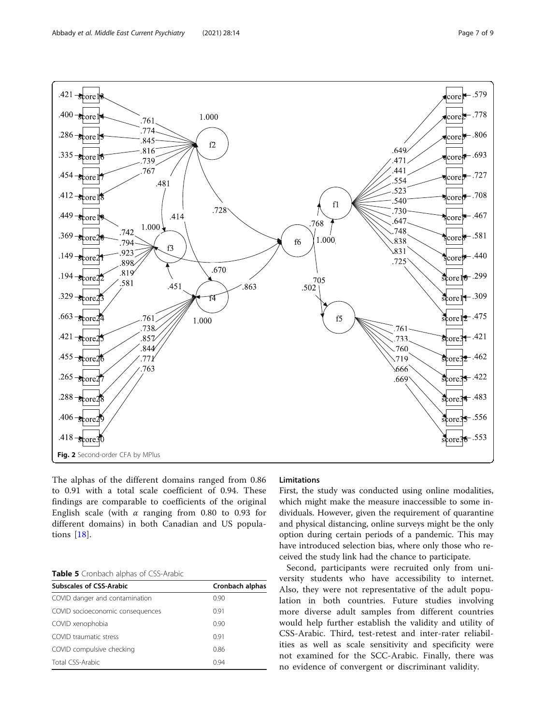<span id="page-6-0"></span>

The alphas of the different domains ranged from 0.86 to 0.91 with a total scale coefficient of 0.94. These findings are comparable to coefficients of the original English scale (with  $\alpha$  ranging from 0.80 to 0.93 for different domains) in both Canadian and US populations [\[18](#page-7-0)].

### Table 5 Cronbach alphas of CSS-Arabic

| <b>Subscales of CSS-Arabic</b>   | Cronbach alphas |  |  |  |
|----------------------------------|-----------------|--|--|--|
| COVID danger and contamination   | 0.90            |  |  |  |
| COVID socioeconomic consequences | 0.91            |  |  |  |
| COVID xenophobia                 | 0.90            |  |  |  |
| COVID traumatic stress           | 0.91            |  |  |  |
| COVID compulsive checking        | 0.86            |  |  |  |
| Total CSS-Arabic                 | 0.94            |  |  |  |

#### Limitations

First, the study was conducted using online modalities, which might make the measure inaccessible to some individuals. However, given the requirement of quarantine and physical distancing, online surveys might be the only option during certain periods of a pandemic. This may have introduced selection bias, where only those who received the study link had the chance to participate.

Second, participants were recruited only from university students who have accessibility to internet. Also, they were not representative of the adult population in both countries. Future studies involving more diverse adult samples from different countries would help further establish the validity and utility of CSS-Arabic. Third, test-retest and inter-rater reliabilities as well as scale sensitivity and specificity were not examined for the SCC-Arabic. Finally, there was no evidence of convergent or discriminant validity.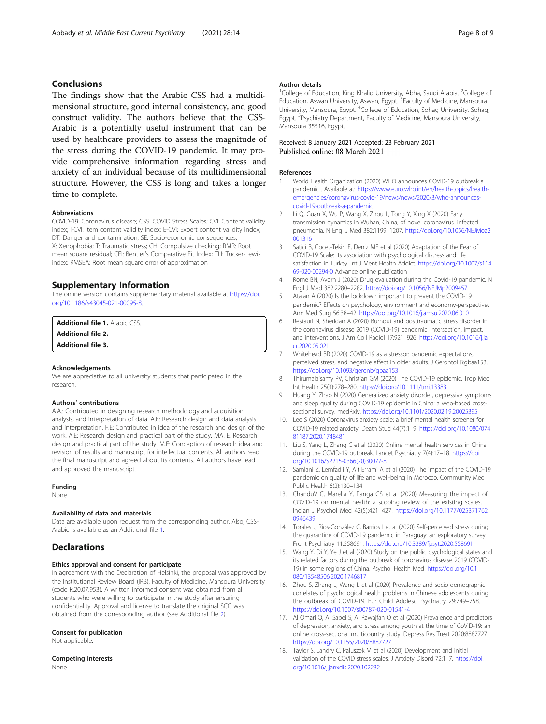#### <span id="page-7-0"></span>Conclusions

The findings show that the Arabic CSS had a multidimensional structure, good internal consistency, and good construct validity. The authors believe that the CSS-Arabic is a potentially useful instrument that can be used by healthcare providers to assess the magnitude of the stress during the COVID-19 pandemic. It may provide comprehensive information regarding stress and anxiety of an individual because of its multidimensional structure. However, the CSS is long and takes a longer time to complete.

#### Abbreviations

COVID-19: Coronavirus disease; CSS: COVID Stress Scales; CVI: Content validity index; I-CVI: Item content validity index; E-CVI: Expert content validity index; DT: Danger and contamination; SE: Socio-economic consequences; X: Xenophobia; T: Traumatic stress; CH: Compulsive checking; RMR: Root mean square residual; CFI: Bentler's Comparative Fit Index; TLI: Tucker-Lewis index; RMSEA: Root mean square error of approximation

#### Supplementary Information

The online version contains supplementary material available at [https://doi.](https://doi.org/10.1186/s43045-021-00095-8) [org/10.1186/s43045-021-00095-8.](https://doi.org/10.1186/s43045-021-00095-8)

Additional file 1. Arabic CSS Additional file 2.

Additional file 3.

#### Acknowledgements

We are appreciative to all university students that participated in the research.

#### Authors' contributions

A.A.: Contributed in designing research methodology and acquisition, analysis, and interpretation of data. A.E: Research design and data analysis and interpretation. F.E: Contributed in idea of the research and design of the work. A.E: Research design and practical part of the study. MA. E: Research design and practical part of the study. M.E: Conception of research idea and revision of results and manuscript for intellectual contents. All authors read the final manuscript and agreed about its contents. All authors have read and approved the manuscript.

#### Funding

None

#### Availability of data and materials

Data are available upon request from the corresponding author. Also, CSS-Arabic is available as an Additional file 1.

#### **Declarations**

#### Ethics approval and consent for participate

In agreement with the Declaration of Helsinki, the proposal was approved by the Institutional Review Board (IRB), Faculty of Medicine, Mansoura University (code R.20.07.953). A written informed consent was obtained from all students who were willing to participate in the study after ensuring confidentiality. Approval and license to translate the original SCC was obtained from the corresponding author (see Additional file 2).

#### Consent for publication

Not applicable.

Competing interests None

#### Author details

<sup>1</sup>College of Education, King Khalid University, Abha, Saudi Arabia. <sup>2</sup>College of Education, Aswan University, Aswan, Egypt. <sup>3</sup> Faculty of Medicine, Mansoura University, Mansoura, Egypt. <sup>4</sup> College of Education, Sohag University, Sohag, Egypt. <sup>5</sup>Psychiatry Department, Faculty of Medicine, Mansoura University, Mansoura 35516, Egypt.

#### Received: 8 January 2021 Accepted: 23 February 2021 Published online: 08 March 2021

#### References

- 1. World Health Organization (2020) WHO announces COVID-19 outbreak a pandemic . Available at: [https://www.euro.who.int/en/health-topics/health](https://www.euro.who.int/en/health-topics/health-emergencies/coronavirus-covid-19/news/news/2020/3/who-announces-covid-19-outbreak-a-pandemic)[emergencies/coronavirus-covid-19/news/news/2020/3/who-announces](https://www.euro.who.int/en/health-topics/health-emergencies/coronavirus-covid-19/news/news/2020/3/who-announces-covid-19-outbreak-a-pandemic)[covid-19-outbreak-a-pandemic](https://www.euro.who.int/en/health-topics/health-emergencies/coronavirus-covid-19/news/news/2020/3/who-announces-covid-19-outbreak-a-pandemic).
- 2. Li Q, Guan X, Wu P, Wang X, Zhou L, Tong Y, Xing X (2020) Early transmission dynamics in Wuhan, China, of novel coronavirus–infected pneumonia. N Engl J Med 382:1199–1207. [https://doi.org/10.1056/NEJMoa2](https://doi.org/10.1056/NEJMoa2001316) [001316](https://doi.org/10.1056/NEJMoa2001316)
- 3. Satici B, Gocet-Tekin E, Deniz ME et al (2020) Adaptation of the Fear of COVID-19 Scale: Its association with psychological distress and life satisfaction in Turkey. Int J Ment Health Addict. [https://doi.org/10.1007/s114](https://doi.org/10.1007/s11469-020-00294-0) [69-020-00294-0](https://doi.org/10.1007/s11469-020-00294-0) Advance online publication
- 4. Rome BN, Avorn J (2020) Drug evaluation during the Covid-19 pandemic. N Engl J Med 382:2280–2282. <https://doi.org/10.1056/NEJMp2009457>
- 5. Atalan A (2020) Is the lockdown important to prevent the COVID-19 pandemic? Effects on psychology, environment and economy-perspective. Ann Med Surg 56:38–42. <https://doi.org/10.1016/j.amsu.2020.06.010>
- 6. Restauri N, Sheridan A (2020) Burnout and posttraumatic stress disorder in the coronavirus disease 2019 (COVID-19) pandemic: intersection, impact, and interventions. J Am Coll Radiol 17:921–926. [https://doi.org/10.1016/j.ja](https://doi.org/10.1016/j.jacr.2020.05.021) [cr.2020.05.021](https://doi.org/10.1016/j.jacr.2020.05.021)
- 7. Whitehead BR (2020) COVID-19 as a stressor: pandemic expectations, perceived stress, and negative affect in older adults. J Gerontol B:gbaa153. <https://doi.org/10.1093/geronb/gbaa153>
- 8. Thirumalaisamy PV, Christian GM (2020) The COVID-19 epidemic. Trop Med Int Health 25(3):278–280. <https://doi.org/10.1111/tmi.13383>
- 9. Huang Y, Zhao N (2020) Generalized anxiety disorder, depressive symptoms and sleep quality during COVID-19 epidemic in China: a web-based crosssectional survey. medRxiv. <https://doi.org/10.1101/2020.02.19.20025395>
- 10. Lee S (2020) Coronavirus anxiety scale: a brief mental health screener for COVID-19 related anxiety. Death Stud 44(7):1–9. [https://doi.org/10.1080/074](https://doi.org/10.1080/07481187.2020.1748481) [81187.2020.1748481](https://doi.org/10.1080/07481187.2020.1748481)
- 11. Liu S, Yang L, Zhang C et al (2020) Online mental health services in China during the COVID-19 outbreak. Lancet Psychiatry 7(4):17–18. [https://doi.](https://doi.org/10.1016/S2215-0366(20)30077-8) [org/10.1016/S2215-0366\(20\)30077-8](https://doi.org/10.1016/S2215-0366(20)30077-8)
- 12. Samlani Z, Lemfadli Y, Ait Errami A et al (2020) The impact of the COVID-19 pandemic on quality of life and well-being in Morocco. Community Med Public Health 6(2):130–134
- 13. ChanduV C, Marella Y, Panga GS et al (2020) Measuring the impact of COViD-19 on mental health: a scoping review of the existing scales. Indian J Psychol Med 42(5):421–427. [https://doi.org/10.1177/025371762](https://doi.org/10.1177/0253717620946439) [0946439](https://doi.org/10.1177/0253717620946439)
- 14. Torales J, Ríos-González C, Barrios I et al (2020) Self-perceived stress during the quarantine of COVID-19 pandemic in Paraguay: an exploratory survey. Front Psychiatry 11:558691. <https://doi.org/10.3389/fpsyt.2020.558691>
- 15. Wang Y, Di Y, Ye J et al (2020) Study on the public psychological states and its related factors during the outbreak of coronavirus disease 2019 (COVID-19) in some regions of China. Psychol Health Med. [https://doi.org/10.1](https://doi.org/10.1080/13548506.2020.1746817) [080/13548506.2020.1746817](https://doi.org/10.1080/13548506.2020.1746817)
- 16. Zhou S, Zhang L, Wang L et al (2020) Prevalence and socio-demographic correlates of psychological health problems in Chinese adolescents during the outbreak of COVID-19. Eur Child Adolesc Psychiatry 29:749–758. <https://doi.org/10.1007/s00787-020-01541-4>
- 17. Al Omari O, Al Sabei S, Al Rawajfah O et al (2020) Prevalence and predictors of depression, anxiety, and stress among youth at the time of CoViD-19: an online cross-sectional multicountry study. Depress Res Treat 2020:8887727. <https://doi.org/10.1155/2020/8887727>
- 18. Taylor S, Landry C, Paluszek M et al (2020) Development and initial validation of the COVID stress scales. J Anxiety Disord 72:1-7. [https://doi.](https://doi.org/10.1016/j.janxdis.2020.102232) [org/10.1016/j.janxdis.2020.102232](https://doi.org/10.1016/j.janxdis.2020.102232)